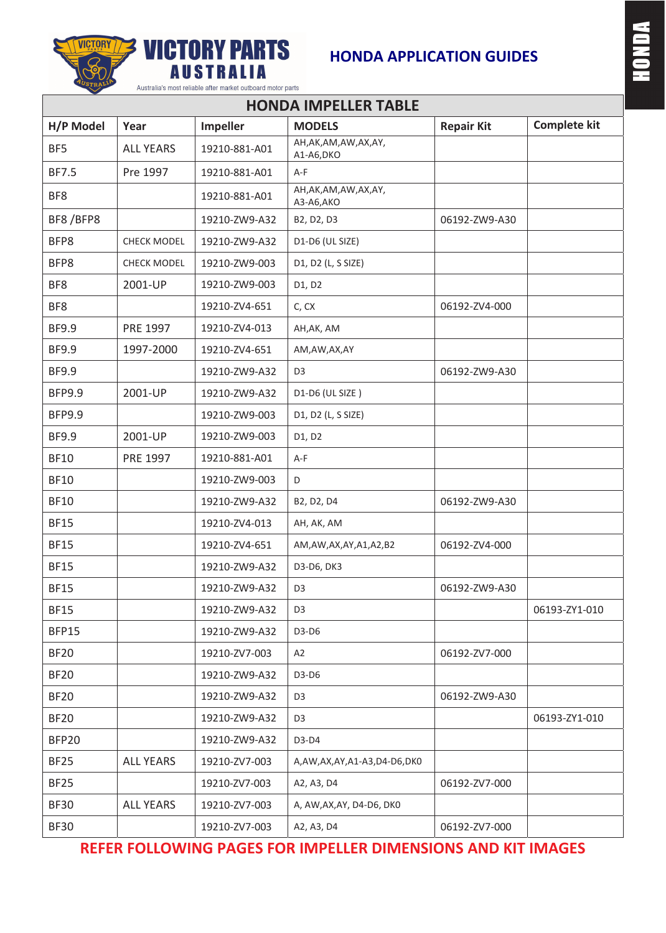



## **HONDA APPLICATION GUIDES**

| <b>HONDA IMPELLER TABLE</b> |                    |               |                                      |                   |                     |
|-----------------------------|--------------------|---------------|--------------------------------------|-------------------|---------------------|
| H/P Model                   | Year               | Impeller      | <b>MODELS</b>                        | <b>Repair Kit</b> | <b>Complete kit</b> |
| BF5                         | <b>ALL YEARS</b>   | 19210-881-A01 | AH, AK, AM, AW, AX, AY,<br>A1-A6,DKO |                   |                     |
| <b>BF7.5</b>                | Pre 1997           | 19210-881-A01 | $A-F$                                |                   |                     |
| BF8                         |                    | 19210-881-A01 | AH, AK, AM, AW, AX, AY,<br>A3-A6,AKO |                   |                     |
| BF8/BFP8                    |                    | 19210-ZW9-A32 | B2, D2, D3                           | 06192-ZW9-A30     |                     |
| BFP8                        | <b>CHECK MODEL</b> | 19210-ZW9-A32 | D1-D6 (UL SIZE)                      |                   |                     |
| BFP8                        | <b>CHECK MODEL</b> | 19210-ZW9-003 | D1, D2 (L, S SIZE)                   |                   |                     |
| BF8                         | 2001-UP            | 19210-ZW9-003 | D1, D2                               |                   |                     |
| BF8                         |                    | 19210-ZV4-651 | C, CX                                | 06192-ZV4-000     |                     |
| <b>BF9.9</b>                | PRE 1997           | 19210-ZV4-013 | AH, AK, AM                           |                   |                     |
| <b>BF9.9</b>                | 1997-2000          | 19210-ZV4-651 | AM,AW,AX,AY                          |                   |                     |
| <b>BF9.9</b>                |                    | 19210-ZW9-A32 | D <sub>3</sub>                       | 06192-ZW9-A30     |                     |
| <b>BFP9.9</b>               | 2001-UP            | 19210-ZW9-A32 | D1-D6 (UL SIZE)                      |                   |                     |
| <b>BFP9.9</b>               |                    | 19210-ZW9-003 | D1, D2 (L, S SIZE)                   |                   |                     |
| <b>BF9.9</b>                | 2001-UP            | 19210-ZW9-003 | D1, D2                               |                   |                     |
| <b>BF10</b>                 | PRE 1997           | 19210-881-A01 | $A-F$                                |                   |                     |
| <b>BF10</b>                 |                    | 19210-ZW9-003 | D                                    |                   |                     |
| <b>BF10</b>                 |                    | 19210-ZW9-A32 | B2, D2, D4                           | 06192-ZW9-A30     |                     |
| <b>BF15</b>                 |                    | 19210-ZV4-013 | AH, AK, AM                           |                   |                     |
| <b>BF15</b>                 |                    | 19210-ZV4-651 | AM, AW, AX, AY, A1, A2, B2           | 06192-ZV4-000     |                     |
| <b>BF15</b>                 |                    | 19210-ZW9-A32 | D3-D6, DK3                           |                   |                     |
| <b>BF15</b>                 |                    | 19210-ZW9-A32 | D <sub>3</sub>                       | 06192-ZW9-A30     |                     |
| <b>BF15</b>                 |                    | 19210-ZW9-A32 | D <sub>3</sub>                       |                   | 06193-ZY1-010       |
| BFP15                       |                    | 19210-ZW9-A32 | D3-D6                                |                   |                     |
| <b>BF20</b>                 |                    | 19210-ZV7-003 | A2                                   | 06192-ZV7-000     |                     |
| <b>BF20</b>                 |                    | 19210-ZW9-A32 | $D3-D6$                              |                   |                     |
| <b>BF20</b>                 |                    | 19210-ZW9-A32 | D <sub>3</sub>                       | 06192-ZW9-A30     |                     |
| <b>BF20</b>                 |                    | 19210-ZW9-A32 | D <sub>3</sub>                       |                   | 06193-ZY1-010       |
| BFP20                       |                    | 19210-ZW9-A32 | D3-D4                                |                   |                     |
| <b>BF25</b>                 | <b>ALL YEARS</b>   | 19210-ZV7-003 | A,AW,AX,AY,A1-A3,D4-D6,DK0           |                   |                     |
| <b>BF25</b>                 |                    | 19210-ZV7-003 | A2, A3, D4                           | 06192-ZV7-000     |                     |
| <b>BF30</b>                 | <b>ALL YEARS</b>   | 19210-ZV7-003 | A, AW, AX, AY, D4-D6, DK0            |                   |                     |
| <b>BF30</b>                 |                    | 19210-ZV7-003 | A2, A3, D4                           | 06192-ZV7-000     |                     |

### **REFER FOLLOWING PAGES FOR IMPELLER DIMENSIONS AND KIT IMAGES**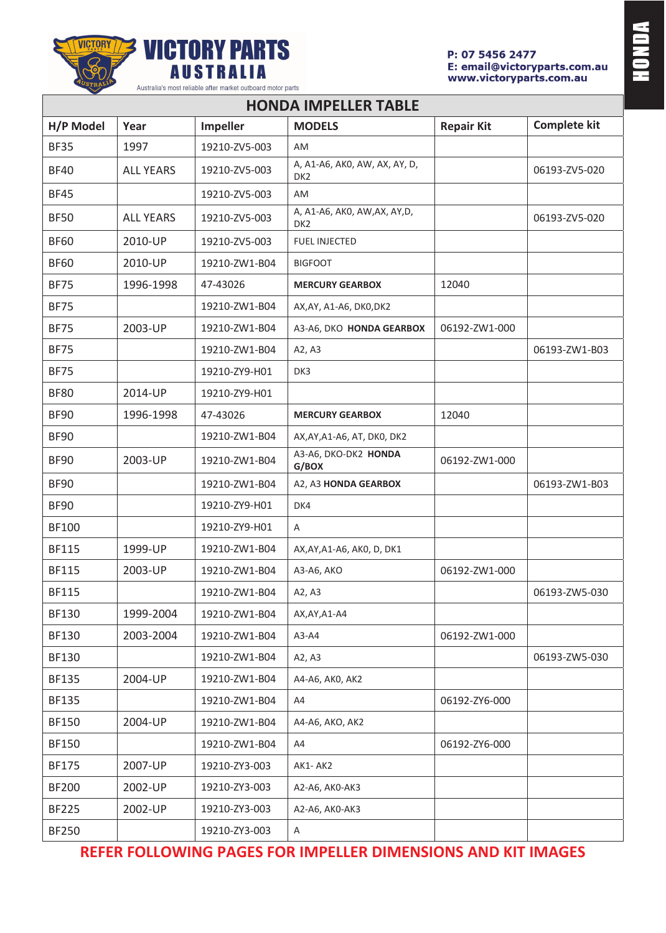



| <b>HONDA IMPELLER TABLE</b> |                  |                 |                                                  |                   |                     |
|-----------------------------|------------------|-----------------|--------------------------------------------------|-------------------|---------------------|
| H/P Model                   | Year             | <b>Impeller</b> | <b>MODELS</b>                                    | <b>Repair Kit</b> | <b>Complete kit</b> |
| <b>BF35</b>                 | 1997             | 19210-ZV5-003   | AM                                               |                   |                     |
| <b>BF40</b>                 | <b>ALL YEARS</b> | 19210-ZV5-003   | A, A1-A6, AK0, AW, AX, AY, D,<br>DK <sub>2</sub> |                   | 06193-ZV5-020       |
| <b>BF45</b>                 |                  | 19210-ZV5-003   | AM                                               |                   |                     |
| <b>BF50</b>                 | <b>ALL YEARS</b> | 19210-ZV5-003   | A, A1-A6, AK0, AW, AX, AY, D,<br>DK <sub>2</sub> |                   | 06193-ZV5-020       |
| <b>BF60</b>                 | 2010-UP          | 19210-ZV5-003   | <b>FUEL INJECTED</b>                             |                   |                     |
| <b>BF60</b>                 | 2010-UP          | 19210-ZW1-B04   | <b>BIGFOOT</b>                                   |                   |                     |
| <b>BF75</b>                 | 1996-1998        | 47-43026        | <b>MERCURY GEARBOX</b>                           | 12040             |                     |
| <b>BF75</b>                 |                  | 19210-ZW1-B04   | AX, AY, A1-A6, DK0, DK2                          |                   |                     |
| <b>BF75</b>                 | 2003-UP          | 19210-ZW1-B04   | A3-A6, DKO HONDA GEARBOX                         | 06192-ZW1-000     |                     |
| <b>BF75</b>                 |                  | 19210-ZW1-B04   | A2, A3                                           |                   | 06193-ZW1-B03       |
| <b>BF75</b>                 |                  | 19210-ZY9-H01   | DK3                                              |                   |                     |
| <b>BF80</b>                 | 2014-UP          | 19210-ZY9-H01   |                                                  |                   |                     |
| <b>BF90</b>                 | 1996-1998        | 47-43026        | <b>MERCURY GEARBOX</b>                           | 12040             |                     |
| <b>BF90</b>                 |                  | 19210-ZW1-B04   | AX, AY, A1-A6, AT, DK0, DK2                      |                   |                     |
| <b>BF90</b>                 | 2003-UP          | 19210-ZW1-B04   | A3-A6, DKO-DK2 HONDA<br>G/BOX                    | 06192-ZW1-000     |                     |
| <b>BF90</b>                 |                  | 19210-ZW1-B04   | A2, A3 HONDA GEARBOX                             |                   | 06193-ZW1-B03       |
| <b>BF90</b>                 |                  | 19210-ZY9-H01   | DK4                                              |                   |                     |
| <b>BF100</b>                |                  | 19210-ZY9-H01   | Α                                                |                   |                     |
| <b>BF115</b>                | 1999-UP          | 19210-ZW1-B04   | AX, AY, A1-A6, AK0, D, DK1                       |                   |                     |
| <b>BF115</b>                | 2003-UP          | 19210-ZW1-B04   | A3-A6, AKO                                       | 06192-ZW1-000     |                     |
| <b>BF115</b>                |                  | 19210-ZW1-B04   | A2, A3                                           |                   | 06193-ZW5-030       |
| <b>BF130</b>                | 1999-2004        | 19210-ZW1-B04   | AX, AY, A1-A4                                    |                   |                     |
| <b>BF130</b>                | 2003-2004        | 19210-ZW1-B04   | $A3-A4$                                          | 06192-ZW1-000     |                     |
| <b>BF130</b>                |                  | 19210-ZW1-B04   | A2, A3                                           |                   | 06193-ZW5-030       |
| <b>BF135</b>                | 2004-UP          | 19210-ZW1-B04   | A4-A6, AK0, AK2                                  |                   |                     |
| <b>BF135</b>                |                  | 19210-ZW1-B04   | A4                                               | 06192-ZY6-000     |                     |
| <b>BF150</b>                | 2004-UP          | 19210-ZW1-B04   | A4-A6, AKO, AK2                                  |                   |                     |
| <b>BF150</b>                |                  | 19210-ZW1-B04   | A4                                               | 06192-ZY6-000     |                     |
| <b>BF175</b>                | 2007-UP          | 19210-ZY3-003   | AK1-AK2                                          |                   |                     |
| <b>BF200</b>                | 2002-UP          | 19210-ZY3-003   | A2-A6, AK0-AK3                                   |                   |                     |
| <b>BF225</b>                | 2002-UP          | 19210-ZY3-003   | A2-A6, AK0-AK3                                   |                   |                     |
| <b>BF250</b>                |                  | 19210-ZY3-003   | A                                                |                   |                     |

## **REFER FOLLOWING PAGES FOR IMPELLER DIMENSIONS AND KIT IMAGES**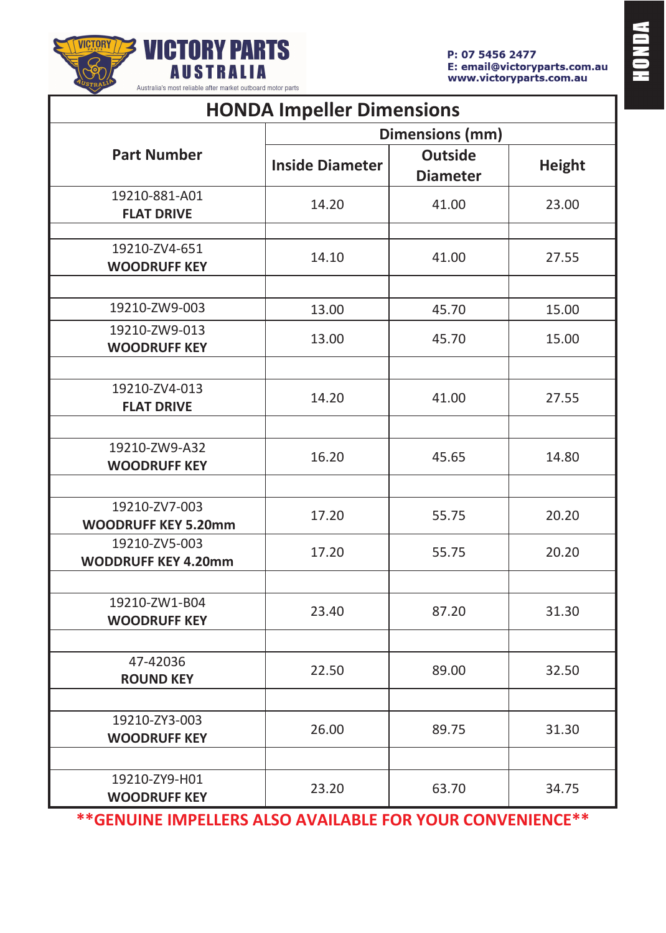

| <b>HONDA Impeller Dimensions</b>            |                        |                                   |               |
|---------------------------------------------|------------------------|-----------------------------------|---------------|
|                                             | Dimensions (mm)        |                                   |               |
| <b>Part Number</b>                          | <b>Inside Diameter</b> | <b>Outside</b><br><b>Diameter</b> | <b>Height</b> |
| 19210-881-A01<br><b>FLAT DRIVE</b>          | 14.20                  | 41.00                             | 23.00         |
| 19210-ZV4-651<br><b>WOODRUFF KEY</b>        | 14.10                  | 41.00                             | 27.55         |
| 19210-ZW9-003                               | 13.00                  | 45.70                             | 15.00         |
| 19210-ZW9-013<br><b>WOODRUFF KEY</b>        | 13.00                  | 45.70                             | 15.00         |
| 19210-ZV4-013<br><b>FLAT DRIVE</b>          | 14.20                  | 41.00                             | 27.55         |
| 19210-ZW9-A32<br><b>WOODRUFF KEY</b>        | 16.20                  | 45.65                             | 14.80         |
| 19210-ZV7-003<br><b>WOODRUFF KEY 5.20mm</b> | 17.20                  | 55.75                             | 20.20         |
| 19210-ZV5-003<br><b>WODDRUFF KEY 4.20mm</b> | 17.20                  | 55.75                             | 20.20         |
| 19210-ZW1-B04<br><b>WOODRUFF KEY</b>        | 23.40                  | 87.20                             | 31.30         |
| 47-42036<br><b>ROUND KEY</b>                | 22.50                  | 89.00                             | 32.50         |
| 19210-ZY3-003<br><b>WOODRUFF KEY</b>        | 26.00                  | 89.75                             | 31.30         |
| 19210-ZY9-H01<br><b>WOODRUFF KEY</b>        | 23.20                  | 63.70                             | 34.75         |

**\*\*GENUINE IMPELLERS ALSO AVAILABLE FOR YOUR CONVENIENCE\*\***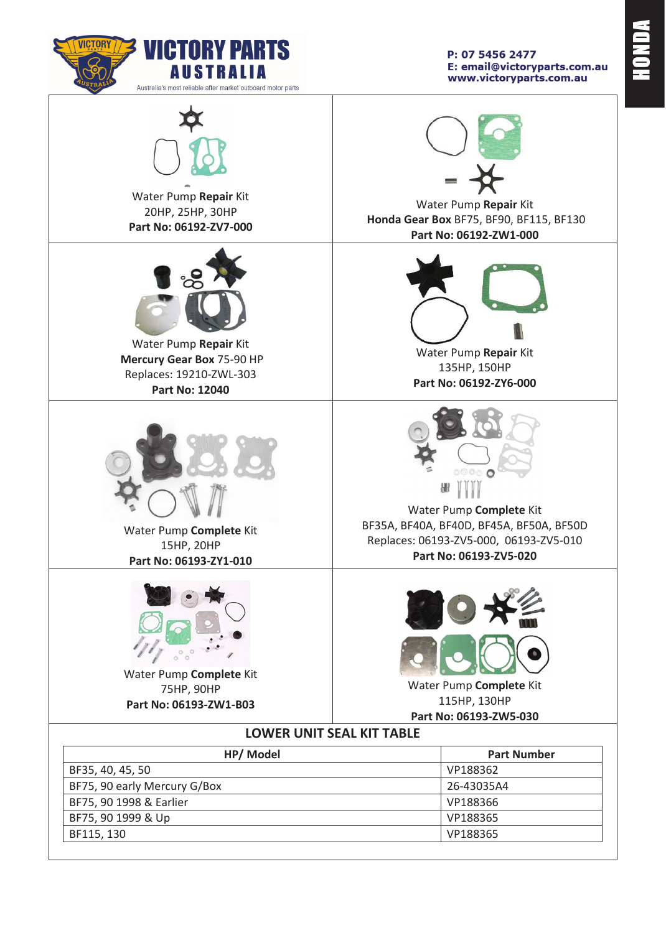

Water Pump **Repair** Kit 20HP, 25HP, 30HP **Part No: 06192-ZV7-000** 



Water Pump **Repair** Kit  **Mercury Gear Box** 75-90 HP Replaces: 19210-ZWL-303 **Part No: 12040** 



Water Pump **Complete** Kit 15HP, 20HP **Part No: 06193-ZY1-010** 



Water Pump **Complete** Kit 75HP, 90HP **Part No: 06193-ZW1-B03**

P: 07 5456 2477 E: email@victoryparts.com.au www.victoryparts.com.au



Water Pump **Repair** Kit  **Honda Gear Box** BF75, BF90, BF115, BF130 **Part No: 06192-ZW1-000** 



Water Pump **Repair** Kit 135HP, 150HP **Part No: 06192-ZY6-000** 



Water Pump **Complete** Kit BF35A, BF40A, BF40D, BF45A, BF50A, BF50D Replaces: 06193-ZV5-000, 06193-ZV5-010 **Part No: 06193-ZV5-020** 



Water Pump **Complete** Kit 115HP, 130HP **Part No: 06193-ZW5-030** 

### **LOWER UNIT SEAL KIT TABLE**

| HP/ Model                    | <b>Part Number</b> |
|------------------------------|--------------------|
| BF35, 40, 45, 50             | VP188362           |
| BF75, 90 early Mercury G/Box | 26-43035A4         |
| BF75, 90 1998 & Earlier      | VP188366           |
| BF75, 90 1999 & Up           | VP188365           |
| BF115, 130                   | VP188365           |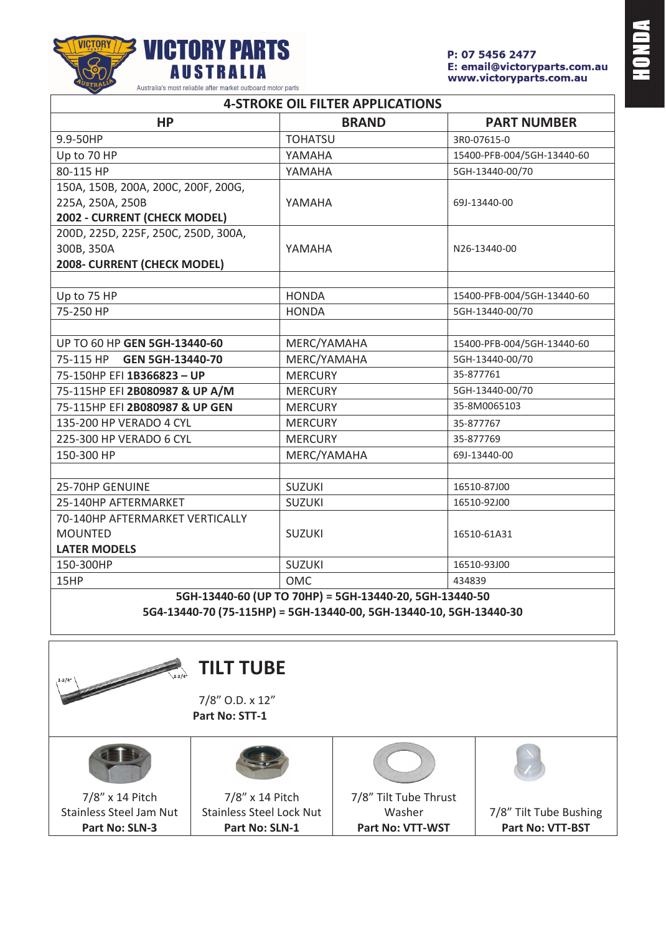

| <b>4-STROKE OIL FILTER APPLICATIONS</b>                |                |                            |  |
|--------------------------------------------------------|----------------|----------------------------|--|
| <b>HP</b>                                              | <b>BRAND</b>   | <b>PART NUMBER</b>         |  |
| 9.9-50HP                                               | <b>TOHATSU</b> | 3R0-07615-0                |  |
| Up to 70 HP                                            | YAMAHA         | 15400-PFB-004/5GH-13440-60 |  |
| 80-115 HP                                              | YAMAHA         | 5GH-13440-00/70            |  |
| 150A, 150B, 200A, 200C, 200F, 200G,                    |                |                            |  |
| 225A, 250A, 250B                                       | YAMAHA         | 69J-13440-00               |  |
| 2002 - CURRENT (CHECK MODEL)                           |                |                            |  |
| 200D, 225D, 225F, 250C, 250D, 300A,                    |                |                            |  |
| 300B, 350A                                             | YAMAHA         | N26-13440-00               |  |
| 2008- CURRENT (CHECK MODEL)                            |                |                            |  |
|                                                        |                |                            |  |
| Up to 75 HP                                            | <b>HONDA</b>   | 15400-PFB-004/5GH-13440-60 |  |
| 75-250 HP                                              | <b>HONDA</b>   | 5GH-13440-00/70            |  |
|                                                        |                |                            |  |
| UP TO 60 HP GEN 5GH-13440-60                           | MERC/YAMAHA    | 15400-PFB-004/5GH-13440-60 |  |
| 75-115 HP<br>GEN 5GH-13440-70                          | MERC/YAMAHA    | 5GH-13440-00/70            |  |
| 75-150HP EFI 1B366823 - UP                             | <b>MERCURY</b> | 35-877761                  |  |
| 75-115HP EFI 2B080987 & UP A/M                         | <b>MERCURY</b> | 5GH-13440-00/70            |  |
| 75-115HP EFI 2B080987 & UP GEN                         | <b>MERCURY</b> | 35-8M0065103               |  |
| 135-200 HP VERADO 4 CYL                                | <b>MERCURY</b> | 35-877767                  |  |
| 225-300 HP VERADO 6 CYL                                | <b>MERCURY</b> | 35-877769                  |  |
| 150-300 HP                                             | MERC/YAMAHA    | 69J-13440-00               |  |
|                                                        |                |                            |  |
| 25-70HP GENUINE                                        | <b>SUZUKI</b>  | 16510-87J00                |  |
| 25-140HP AFTERMARKET                                   | <b>SUZUKI</b>  | 16510-92J00                |  |
| 70-140HP AFTERMARKET VERTICALLY                        |                |                            |  |
| <b>MOUNTED</b>                                         | <b>SUZUKI</b>  | 16510-61A31                |  |
| <b>LATER MODELS</b>                                    |                |                            |  |
| 150-300HP                                              | <b>SUZUKI</b>  | 16510-93J00                |  |
| 15HP                                                   | <b>OMC</b>     | 434839                     |  |
| 5GH-13440-60 (UP TO 70HP) = 5GH-13440-20, 5GH-13440-50 |                |                            |  |

**5G4-13440-70 (75-115HP) = 5GH-13440-00, 5GH-13440-10, 5GH-13440-30**